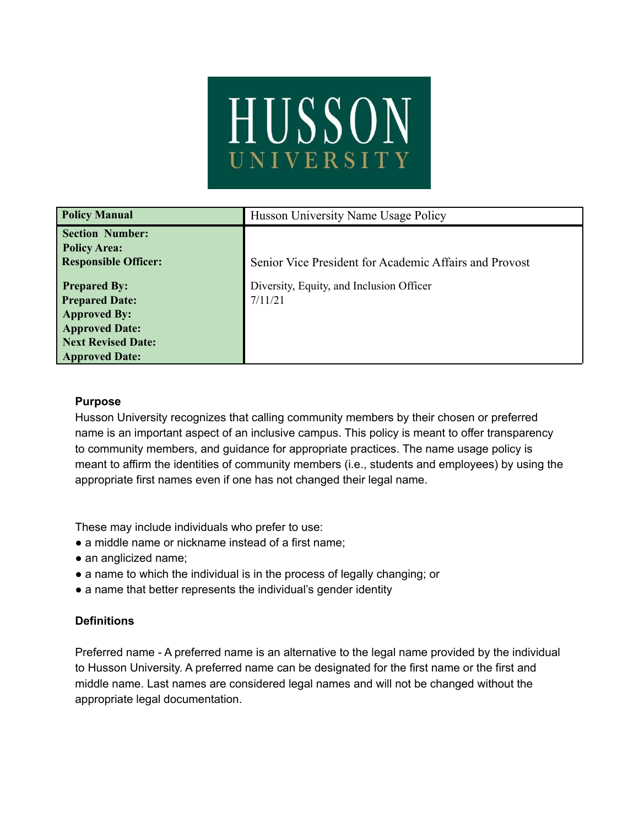

| <b>Policy Manual</b>                                                                                                                               | Husson University Name Usage Policy                    |
|----------------------------------------------------------------------------------------------------------------------------------------------------|--------------------------------------------------------|
| <b>Section Number:</b><br><b>Policy Area:</b><br><b>Responsible Officer:</b>                                                                       | Senior Vice President for Academic Affairs and Provost |
| <b>Prepared By:</b><br><b>Prepared Date:</b><br><b>Approved By:</b><br><b>Approved Date:</b><br><b>Next Revised Date:</b><br><b>Approved Date:</b> | Diversity, Equity, and Inclusion Officer<br>7/11/21    |

### **Purpose**

Husson University recognizes that calling community members by their chosen or preferred name is an important aspect of an inclusive campus. This policy is meant to offer transparency to community members, and guidance for appropriate practices. The name usage policy is meant to affirm the identities of community members (i.e., students and employees) by using the appropriate first names even if one has not changed their legal name.

These may include individuals who prefer to use:

- a middle name or nickname instead of a first name;
- an anglicized name;
- a name to which the individual is in the process of legally changing; or
- a name that better represents the individual's gender identity

## **Definitions**

Preferred name - A preferred name is an alternative to the legal name provided by the individual to Husson University. A preferred name can be designated for the first name or the first and middle name. Last names are considered legal names and will not be changed without the appropriate legal documentation.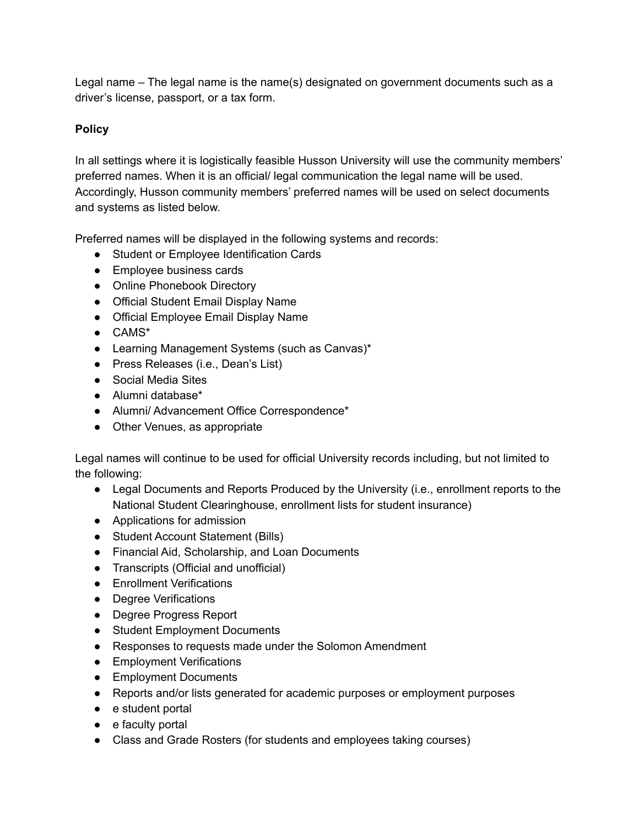Legal name – The legal name is the name(s) designated on government documents such as a driver's license, passport, or a tax form.

# **Policy**

In all settings where it is logistically feasible Husson University will use the community members' preferred names. When it is an official/ legal communication the legal name will be used. Accordingly, Husson community members' preferred names will be used on select documents and systems as listed below.

Preferred names will be displayed in the following systems and records:

- Student or Employee Identification Cards
- Employee business cards
- Online Phonebook Directory
- Official Student Email Display Name
- Official Employee Email Display Name
- CAMS\*
- Learning Management Systems (such as Canvas)\*
- Press Releases (i.e., Dean's List)
- Social Media Sites
- Alumni database\*
- Alumni/ Advancement Office Correspondence\*
- Other Venues, as appropriate

Legal names will continue to be used for official University records including, but not limited to the following:

- Legal Documents and Reports Produced by the University (i.e., enrollment reports to the National Student Clearinghouse, enrollment lists for student insurance)
- Applications for admission
- Student Account Statement (Bills)
- Financial Aid, Scholarship, and Loan Documents
- Transcripts (Official and unofficial)
- Enrollment Verifications
- Degree Verifications
- Degree Progress Report
- Student Employment Documents
- Responses to requests made under the Solomon Amendment
- Employment Verifications
- Employment Documents
- Reports and/or lists generated for academic purposes or employment purposes
- e student portal
- e faculty portal
- Class and Grade Rosters (for students and employees taking courses)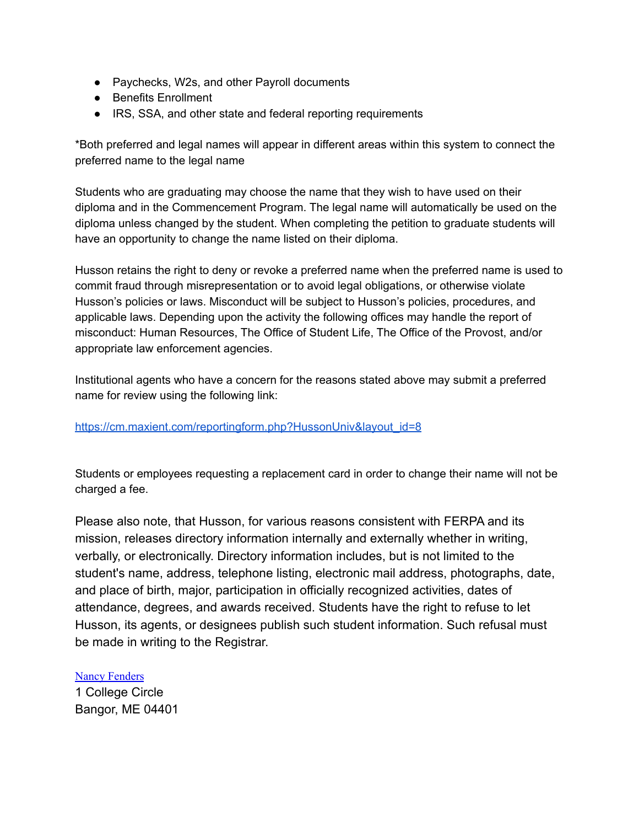- Paychecks, W2s, and other Payroll documents
- Benefits Enrollment
- IRS, SSA, and other state and federal reporting requirements

\*Both preferred and legal names will appear in different areas within this system to connect the preferred name to the legal name

Students who are graduating may choose the name that they wish to have used on their diploma and in the Commencement Program. The legal name will automatically be used on the diploma unless changed by the student. When completing the petition to graduate students will have an opportunity to change the name listed on their diploma.

Husson retains the right to deny or revoke a preferred name when the preferred name is used to commit fraud through misrepresentation or to avoid legal obligations, or otherwise violate Husson's policies or laws. Misconduct will be subject to Husson's policies, procedures, and applicable laws. Depending upon the activity the following offices may handle the report of misconduct: Human Resources, The Office of Student Life, The Office of the Provost, and/or appropriate law enforcement agencies.

Institutional agents who have a concern for the reasons stated above may submit a preferred name for review using the following link:

## [https://cm.maxient.com/reportingform.php?HussonUniv&layout\\_id=8](https://cm.maxient.com/reportingform.php?HussonUniv&layout_id=8)

Students or employees requesting a replacement card in order to change their name will not be charged a fee.

Please also note, that Husson, for various reasons consistent with FERPA and its mission, releases directory information internally and externally whether in writing, verbally, or electronically. Directory information includes, but is not limited to the student's name, address, telephone listing, electronic mail address, photographs, date, and place of birth, major, participation in officially recognized activities, dates of attendance, degrees, and awards received. Students have the right to refuse to let Husson, its agents, or designees publish such student information. Such refusal must be made in writing to the Registrar.

## Nancy [Fenders](mailto:fendersn@husson.edu)

1 College Circle Bangor, ME 04401